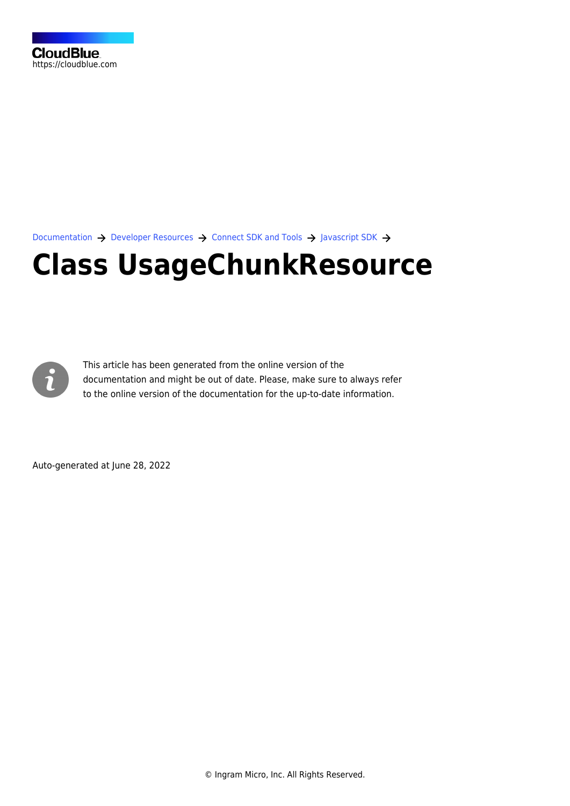[Documentation](https://connect.cloudblue.com/documentation)  $\rightarrow$  [Developer Resources](https://connect.cloudblue.com/community/developers/)  $\rightarrow$  [Connect SDK and Tools](https://connect.cloudblue.com/community/developers/sdk/)  $\rightarrow$  [Javascript SDK](https://connect.cloudblue.com/community/developers/sdk/javascript-sdk/)  $\rightarrow$ 

# **[Class UsageChunkResource](https://connect.cloudblue.com/community/developers/sdk/javascript-sdk/class-usagechunkresource/)**



This article has been generated from the online version of the documentation and might be out of date. Please, make sure to always refer to the online version of the documentation for the up-to-date information.

Auto-generated at June 28, 2022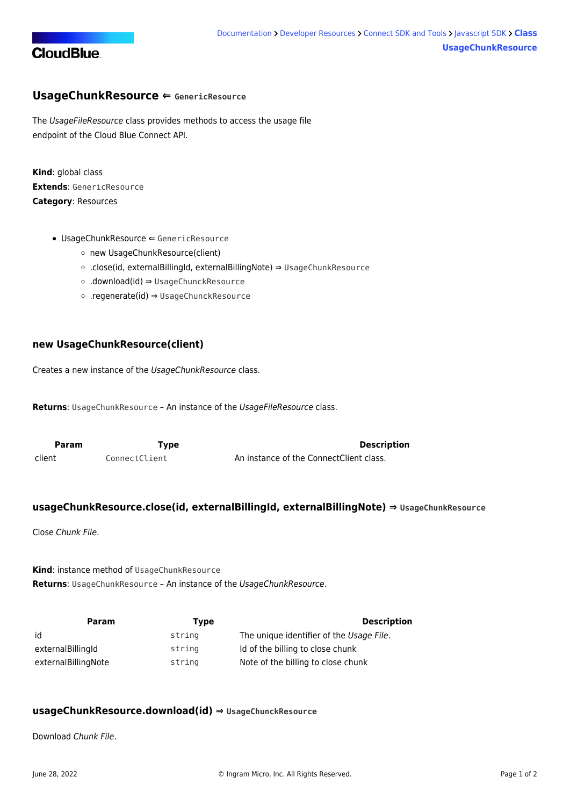

## <span id="page-1-0"></span>**UsageChunkResource ⇐ GenericResource**

The UsageFileResource class provides methods to access the usage file endpoint of the Cloud Blue Connect API.

**Kind**: global class **Extends**: GenericResource **Category**: Resources

- [UsageChunkResource](#page-1-0) ⇐ GenericResource
	- [new UsageChunkResource\(client\)](#page-1-1)
	- [.close\(id, externalBillingId, externalBillingNote\)](#page-1-2) ⇒ [UsageChunkResource](#page-1-0)
	- [.download\(id\)](#page-1-3) ⇒ UsageChunckResource
	- [.regenerate\(id\)](#page-2-0) ⇒ UsageChunckResource

## <span id="page-1-1"></span>**new UsageChunkResource(client)**

Creates a new instance of the UsageChunkResource class.

**Returns**: [UsageChunkResource](#page-1-0) – An instance of the UsageFileResource class.

<span id="page-1-2"></span>

| <b>Param</b> | Type          | <b>Description</b>                      |
|--------------|---------------|-----------------------------------------|
| client       | ConnectClient | An instance of the ConnectClient class. |

#### **usageChunkResource.close(id, externalBillingId, externalBillingNote) ⇒ [UsageChunkResource](#page-1-0)**

Close Chunk File.

**Kind**: instance method of [UsageChunkResource](#page-1-0) **Returns**: [UsageChunkResource](#page-1-0) – An instance of the UsageChunkResource.

| Param               | Type   | <b>Description</b>                       |
|---------------------|--------|------------------------------------------|
| id                  | string | The unique identifier of the Usage File. |
| externalBillingId   | string | Id of the billing to close chunk         |
| externalBillingNote | string | Note of the billing to close chunk       |

#### <span id="page-1-3"></span>**usageChunkResource.download(id) ⇒ UsageChunckResource**

Download Chunk File.